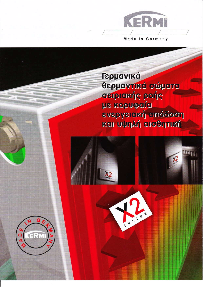

Γερμανικά θερμαντικά σώματα σειριακής ροής με κορυφαία ενεργειακή απόδοση και υψηλή αισθητική



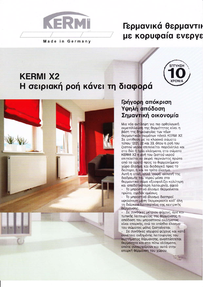

## Γερμανικά θερμαντικ με κορυφαία ενεργε

# **KERMI X2** Η σειριακή ροή κάνει τη διαφορά





## Γρήγορη απόκριση Υψηλή απόδοση Σημαντική οικονομία

Μια νέα αντίληψη για πιο ορθολογική εκμετάλλευση της θερμότητας είναι η βάση της δημιουργίας των νέων θερμαντικών σωμάτων πάνελ ΚΕRΜΙ Χ2. Σε αντίθεση με τα κλασικά σώματα τύπου 12/21, 22 και 33, όπου η ροή του ζεστού νερού επιτελείται παράλληλα και στα δύο ή τρία ελάσματα, στα σώματα ΚΕRΜΙ Χ2 η ροή του ζεστού νερού επιτελείται εν σειρά, περνώντας πρώτα από το ορατό προς το θερμαινόμενο χώρο έλασμα, και διαδοχικά προς το δεύτερο, ή και το τρίτο έλασμα. Αυτή η απλή, αλλά "σοφή" αλλαγή της διαδρομής του νερού μέσα στο θερμαντικό σώμα εξασφαλίζει καλύτερη και αποδοτικότερη λειτουργία, αφού: Το μπροστινό έλασμα θερμαίνεται

πρώτο, σχεδόν αμέσως. Το μπροστινό έλασμα διατηρεί υψηλότερη μέση θερμοκρασία καθ' όλη τη διάρκεια λειτουργίας της κεντρικής θέρμανσης.

Σε συνθήκες μέτριου ψύχους, άρα και τυπικής λειτουργίας της θέρμανσης, η απόδοση του μπροστινού ελάσματος είναι επαρκής, ενώ το οπίσθιο έλασμα του σώματος μόλις ζεσταίνεται.

Σε συνθήκες ισχυρού ψύχους και κατά συνέπεια αυξημένης λειτουργίας του συστήματος θέρμανσης, αναπτύσσεται θερμότητα και στα πίσω ελάσματα, οπότε συνεισφέρουν και αυτά στην επαρκή θέρμανση του χώρου.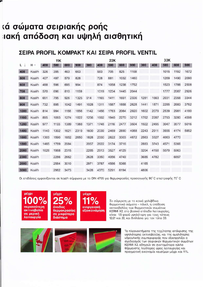## τά σώματα σειριακής ροής ιακή απόδοση και υψηλή αισθητική

## ΣΕΙΡΑ PROFIL ΚΟΜΡΑΚΤ ΚΑΙ ΣΕΙΡΑ PROFIL VENTIL

|      |        | 11K  |      |      |      | 22K  |      |      |      |      | 33K  |      |      |      |      |
|------|--------|------|------|------|------|------|------|------|------|------|------|------|------|------|------|
| L J  | H→     | 400  | 500  | 600  | 900  | 300  | 400  | 500  | 600  | 900  | 300  | 400  | 500  | 600  | 900  |
| 400  | Kcal/h | 326  | 395  | 463  | 663  |      | 583  | 705  | 825  | 1168 |      |      | 1015 | 1192 | 1672 |
| 500  | Kcal/h | 407  | 497  | 579  | 828  |      | 728  | 881  | 1032 | 1460 |      |      | 1269 | 1490 | 2090 |
| 600  | Kcal/h | 488  | 596  | 695  | 994  |      | 874  | 1058 | 1238 | 1752 |      |      | 1523 | 1788 | 2508 |
| 700  | Kcal/h | 570  | 696  | 810  | 1159 |      | 1019 | 1234 | 1445 | 2044 |      |      | 1777 | 2087 | 2926 |
| 800  | Kcal/h | 651  | 795  | 926  | 1325 | 914  | 1165 | 1411 | 1651 | 2336 | 1281 | 1663 | 2031 | 2358 | 3344 |
| 900  | Kcal/h | 732  | 895  | 1042 | 1491 | 1028 | 1311 | 1587 | 1858 | 2628 | 1441 | 1871 | 2285 | 2683 | 3762 |
| 1000 | Kcal/h | 814  | 994  | 1158 | 1656 | 1142 | 1456 | 1763 | 2064 | 2920 | 1602 | 2079 | 2539 | 2981 | 4180 |
| 1100 | Kcal/h | 895  | 1093 | 1274 | 1822 | 1256 | 1602 | 1940 | 2270 | 3212 | 1762 | 2287 | 2793 | 3280 | 4598 |
| 1200 | Kcal/h | 977  | 1193 | 1389 | 1988 | 1371 | 1748 | 2116 | 2477 | 3504 | 1922 | 2495 | 3047 | 3577 | 5016 |
| 1400 | Kcal/h | 1140 | 1392 | 1621 | 2319 | 1600 | 2039 | 2469 | 2890 | 4088 | 2243 | 2911 | 3555 | 4174 | 5852 |
| 1600 | Kcal/h | 1303 | 1590 | 1852 | 2650 | 1828 | 2330 | 2822 | 3303 | 4672 | 2563 | 3327 | 4063 | 4770 |      |
| 1800 | Kcal/h | 1465 | 1789 | 2084 |      | 2057 | 2622 | 3174 | 3716 |      | 2883 | 3743 | 4571 | 5366 |      |
| 2000 | Kcal/h | 1628 | 1988 | 2315 |      | 2285 | 2913 | 3527 | 4129 |      | 3204 | 4158 | 5079 | 5963 |      |
| 2300 | Kcal/h |      | 2286 | 2662 |      | 2628 | 3350 | 4056 | 4749 |      | 3685 | 4782 |      | 6857 |      |
| 2600 | Kcal/h |      | 2584 | 3010 |      | 2971 | 3787 | 4586 | 5368 |      | 4165 |      |      |      |      |
| 3000 | Kcal/h |      | 2982 | 3473 |      | 3428 | 4370 | 5291 | 6194 |      | 4806 |      |      |      |      |

Οι επιδόσεις εμφανίζονται σε kcal/h σύμφωνα με το DIN 4705 για θερμοκρασίες προσαγωγής 90°C επιστροφής 70°C





μέχρι ενεργειακή εξοικονόμηση

Σε σύγκριση με τα κοινά χαλύβδινα θερμαντικά σώματα - πάνελ, η απόδοση ακτινοβολίας των θερμαντικών σωμάτων ΚΕRΜΙ Χ2, στο βασικό επίπεδο λειτουργίας, είναι: 1,5 φορά υψηλότερη για τους τύπους 12/21 και 22, και διπλάσια για τον τύπο 33.



Τα πλεονεκτήματα της ταχύτατης απόκρισης, της υψηλότερης ακτινοβολίας, και της ομαλότερης υδραυλικής συμπεριφοράς που εξασφαλίζει ο σχεδιασμός των σειριακών θερμαντικών σωμάτων ΚΕRΜΙ Χ2, οδηγούν σε συντομότερο κύκλο θέρμανσης, λιγότερες ώρες λειτουργίας και πραγματική οικονομία καυσίμων μέχρι και 11%.